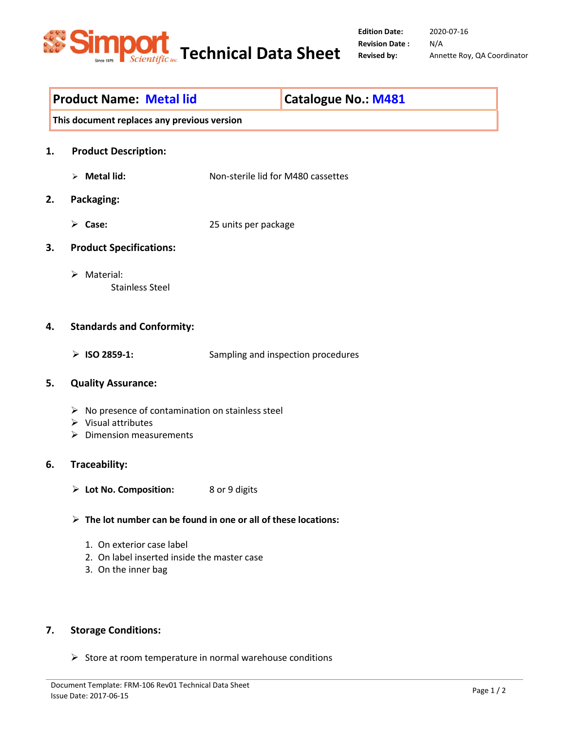

2020-07-16 N/A Revised by: Annette Roy, QA Coordinator

# Product Name: Metal lid Catalogue No.: M481

This document replaces any previous version

- 1. Product Description:
	- Metal lid: Non-sterile lid for M480 cassettes
- 2. Packaging:
	- Case: 25 units per package
- 3. Product Specifications:
	- > Material: Stainless Steel

## 4. Standards and Conformity:

> ISO 2859-1: Sampling and inspection procedures

#### 5. Quality Assurance:

- $\triangleright$  No presence of contamination on stainless steel
- $\triangleright$  Visual attributes
- $\triangleright$  Dimension measurements

## 6. Traceability:

- Lot No. Composition: 8 or 9 digits
- $\triangleright$  The lot number can be found in one or all of these locations:
	- 1. On exterior case label
	- 2. On label inserted inside the master case
	- 3. On the inner bag

## 7. Storage Conditions:

 $\triangleright$  Store at room temperature in normal warehouse conditions